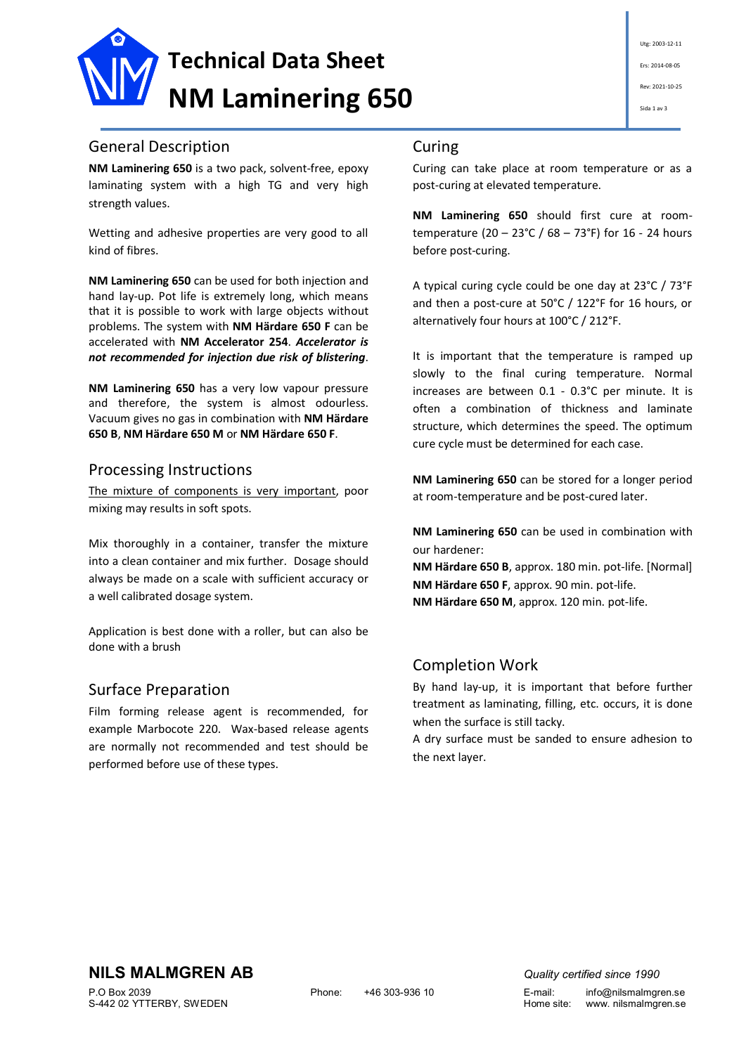

# General Description

**NM Laminering 650** is a two pack, solvent-free, epoxy laminating system with a high TG and very high strength values.

Wetting and adhesive properties are very good to all kind of fibres.

**NM Laminering 650** can be used for both injection and hand lay-up. Pot life is extremely long, which means that it is possible to work with large objects without problems. The system with **NM Härdare 650 F** can be accelerated with **NM Accelerator 254**. *Accelerator is not recommended for injection due risk of blistering*.

**NM Laminering 650** has a very low vapour pressure and therefore, the system is almost odourless. Vacuum gives no gas in combination with **NM Härdare 650 B**, **NM Härdare 650 M** or **NM Härdare 650 F**.

## Processing Instructions

The mixture of components is very important, poor mixing may results in soft spots.

Mix thoroughly in a container, transfer the mixture into a clean container and mix further. Dosage should always be made on a scale with sufficient accuracy or a well calibrated dosage system.

Application is best done with a roller, but can also be done with a brush

# Surface Preparation

Film forming release agent is recommended, for example Marbocote 220. Wax-based release agents are normally not recommended and test should be performed before use of these types.

### Curing

Curing can take place at room temperature or as a post-curing at elevated temperature.

**NM Laminering 650** should first cure at roomtemperature (20 – 23°C / 68 – 73°F) for 16 - 24 hours before post-curing.

A typical curing cycle could be one day at 23°C / 73°F and then a post-cure at 50°C / 122°F for 16 hours, or alternatively four hours at 100°C / 212°F.

It is important that the temperature is ramped up slowly to the final curing temperature. Normal increases are between 0.1 - 0.3°C per minute. It is often a combination of thickness and laminate structure, which determines the speed. The optimum cure cycle must be determined for each case.

**NM Laminering 650** can be stored for a longer period at room-temperature and be post-cured later.

**NM Laminering 650** can be used in combination with our hardener:

**NM Härdare 650 B**, approx. 180 min. pot-life. [Normal] **NM Härdare 650 F**, approx. 90 min. pot-life. **NM Härdare 650 M**, approx. 120 min. pot-life.

# Completion Work

By hand lay-up, it is important that before further treatment as laminating, filling, etc. occurs, it is done when the surface is still tacky.

A dry surface must be sanded to ensure adhesion to the next layer.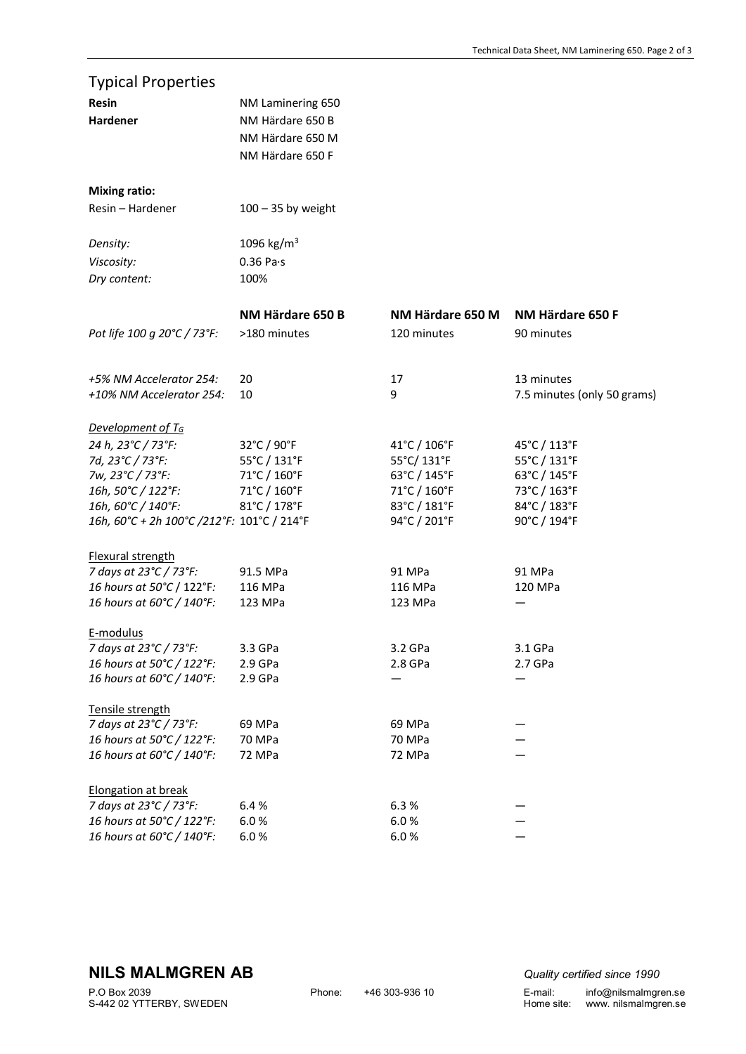| <b>Typical Properties</b>                              |                        |                    |                             |
|--------------------------------------------------------|------------------------|--------------------|-----------------------------|
| <b>Resin</b>                                           | NM Laminering 650      |                    |                             |
| Hardener                                               | NM Härdare 650 B       |                    |                             |
|                                                        | NM Härdare 650 M       |                    |                             |
|                                                        | NM Härdare 650 F       |                    |                             |
|                                                        |                        |                    |                             |
| <b>Mixing ratio:</b>                                   |                        |                    |                             |
| Resin - Hardener                                       | $100 - 35$ by weight   |                    |                             |
|                                                        |                        |                    |                             |
| Density:                                               | 1096 kg/m <sup>3</sup> |                    |                             |
| Viscosity:                                             | $0.36$ Pa $\cdot$ s    |                    |                             |
| Dry content:                                           | 100%                   |                    |                             |
|                                                        |                        |                    |                             |
|                                                        | NM Härdare 650 B       | NM Härdare 650 M   | NM Härdare 650 F            |
| Pot life 100 g 20°C / 73°F:                            | >180 minutes           | 120 minutes        | 90 minutes                  |
|                                                        |                        |                    |                             |
| +5% NM Accelerator 254:                                | 20                     | 17                 | 13 minutes                  |
| +10% NM Accelerator 254:                               | 10                     | 9                  | 7.5 minutes (only 50 grams) |
|                                                        |                        |                    |                             |
| Development of $T_G$                                   |                        |                    |                             |
| 24 h, 23°C / 73°F:                                     | 32°C / 90°F            | 41°C / 106°F       | 45°C / 113°F                |
| 7d, 23°C / 73°F:                                       | 55°C / 131°F           | 55°C/131°F         | 55°C / 131°F                |
| 7w, 23°C / 73°F:                                       | 71°C / 160°F           | 63°C / 145°F       | 63°C / 145°F                |
| 16h, 50°C / 122°F:                                     | 71°C / 160°F           | 71°C / 160°F       | 73°C / 163°F                |
| 16h, 60°C / 140°F:                                     | 81°C / 178°F           | 83°C / 181°F       | 84°C / 183°F                |
|                                                        |                        |                    |                             |
| 16h, 60°C + 2h 100°C /212°F: 101°C / 214°F             |                        | 94°C / 201°F       | 90°C / 194°F                |
| Flexural strength                                      |                        |                    |                             |
| 7 days at 23°C / 73°F:                                 | 91.5 MPa               | 91 MPa             | 91 MPa                      |
| 16 hours at 50°C / 122°F:                              | 116 MPa                | 116 MPa            | 120 MPa                     |
| 16 hours at 60°C / 140°F:                              | 123 MPa                | 123 MPa            |                             |
|                                                        |                        |                    |                             |
| E-modulus                                              |                        |                    |                             |
| 7 days at 23°C / 73°F:                                 | 3.3 GPa                | 3.2 GPa            | 3.1 GPa                     |
| 16 hours at 50°C / 122°F:                              | 2.9 GPa                | 2.8 <sub>GPa</sub> | $2.7$ GPa                   |
| 16 hours at 60°C / 140°F:                              | 2.9 GPa                |                    |                             |
| Tensile strength                                       |                        |                    |                             |
| 7 days at 23°C / 73°F:                                 | 69 MPa                 | 69 MPa             |                             |
|                                                        |                        |                    |                             |
|                                                        |                        |                    |                             |
|                                                        |                        |                    |                             |
| <b>Elongation at break</b>                             |                        |                    |                             |
| 7 days at 23°C / 73°F:                                 | 6.4%                   | 6.3%               |                             |
| 16 hours at 50°C / 122°F:                              | 6.0%                   | 6.0%               |                             |
| 16 hours at 60°C / 140°F:                              | 6.0%                   | 6.0%               |                             |
| 16 hours at 50°C / 122°F:<br>16 hours at 60°C / 140°F: | 70 MPa<br>72 MPa       | 70 MPa<br>72 MPa   |                             |